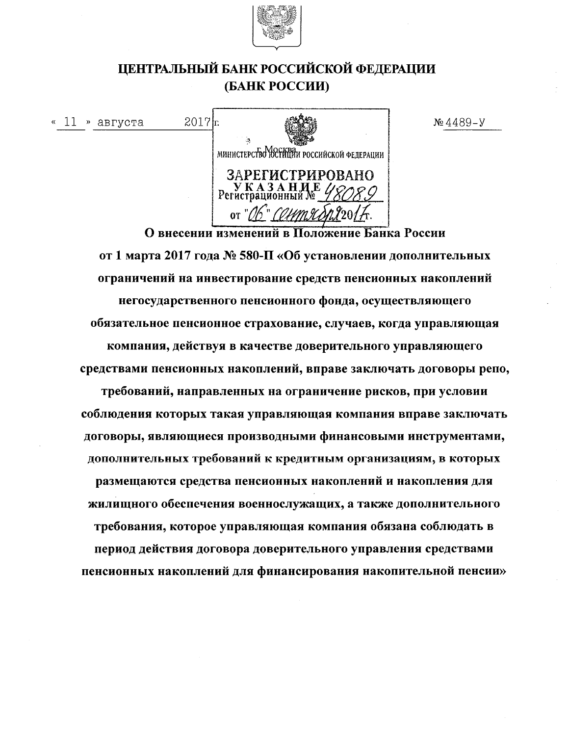

## ЦЕНТРАЛЬНЫЙ БАНК РОССИЙСКОЙ ФЕДЕРАЦИИ (БАНК РОССИИ)

 $N_2$ 4489-y

 $2017$ <sub>r</sub> «  $11$  » августа министерство юстинии российской федерации ЗАРЕГИСТРИРОВАНО УКАЗАНИ<br>Регистрационный. or " $\mathcal{N}$ " '*() Um* 97 X О внесении изменений в Положение Банка России

от 1 марта 2017 года № 580-П «Об установлении дополнительных ограничений на инвестирование средств пенсионных накоплений негосударственного пенсионного фонда, осуществляющего обязательное пенсионное страхование, случаев, когда управляющая компания, действуя в качестве доверительного управляющего средствами пенсионных накоплений, вправе заключать договоры репо, требований, направленных на ограничение рисков, при условии соблюдения которых такая управляющая компания вправе заключать договоры, являющиеся производными финансовыми инструментами, дополнительных требований к кредитным организациям, в которых размещаются средства пенсионных накоплений и накопления для жилищного обеспечения военнослужащих, а также дополнительного требования, которое управляющая компания обязана соблюдать в период действия договора доверительного управления средствами пенсионных накоплений для финансирования накопительной пенсии»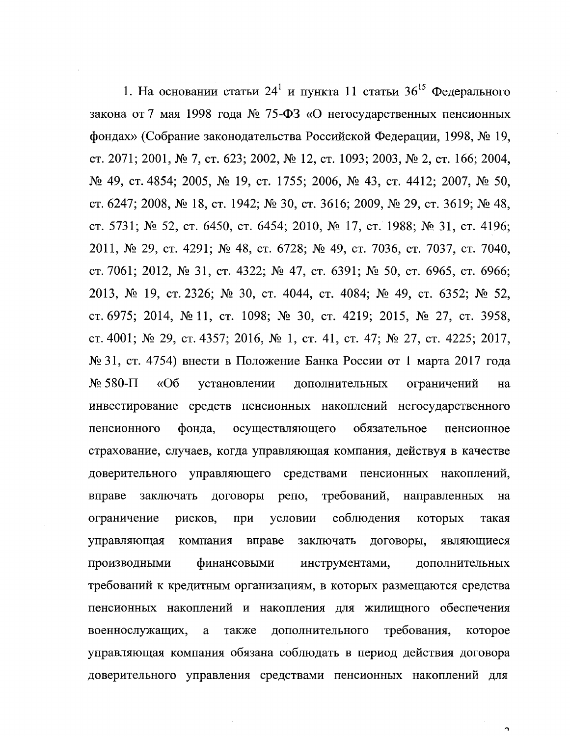1. На основании статьи 24<sup>1</sup> и пункта 11 статьи 36<sup>15</sup> Федерального закона от 7 мая 1998 года № 75-ФЗ «О негосударственных пенсионных фондах» (Собрание законодательства Российской Федерации, 1998, № 19, ст. 2071; 2001, № 7, ст. 623; 2002, № 12, ст. 1093; 2003, № 2, ст. 166; 2004,  $\mathcal{N}_2$  49, ct. 4854; 2005,  $\mathcal{N}_2$  19, ct. 1755; 2006,  $\mathcal{N}_2$  43, ct. 4412; 2007,  $\mathcal{N}_2$  50, ст. 6247; 2008, № 18, ст. 1942; № 30, ст. 3616; 2009, № 29, ст. 3619; № 48, ст. 5731; № 52, ст. 6450, ст. 6454; 2010, № 17, ст. 1988; № 31, ст. 4196; 2011, № 29, ст. 4291; № 48, ст. 6728; № 49, ст. 7036, ст. 7037, ст. 7040, ст. 7061; 2012, № 31, ст. 4322; № 47, ст. 6391; № 50, ст. 6965, ст. 6966; 2013, № 19, ст. 2326; № 30, ст. 4044, ст. 4084; № 49, ст. 6352; № 52, ст. 6975; 2014, № 11, ст. 1098; № 30, ст. 4219; 2015, № 27, ст. 3958, ст. 4001; № 29, ст. 4357; 2016, № 1, ст. 41, ст. 47; № 27, ст. 4225; 2017, № 31, ст. 4754) внести в Положение Банка России от 1 марта 2017 года  $N<sub>2</sub>$  580- $\Pi$  $\langle \langle$ Oб установлении дополнительных ограничений на инвестирование средств пенсионных накоплений негосударственного фонда, осуществляющего обязательное пенсионного пенсионное страхование, случаев, когда управляющая компания, действуя в качестве доверительного управляющего средствами пенсионных накоплений, вправе заключать договоры репо, требований, направленных Ha ограничение рисков, при условии соблюдения которых такая договоры, управляющая компания вправе заключать являющиеся производными финансовыми инструментами, дополнительных требований к кредитным организациям, в которых размещаются средства пенсионных накоплений и накопления для жилищного обеспечения требования, военнослужащих, a также дополнительного которое управляющая компания обязана соблюдать в период действия договора доверительного управления средствами пенсионных накоплений для

 $\Delta$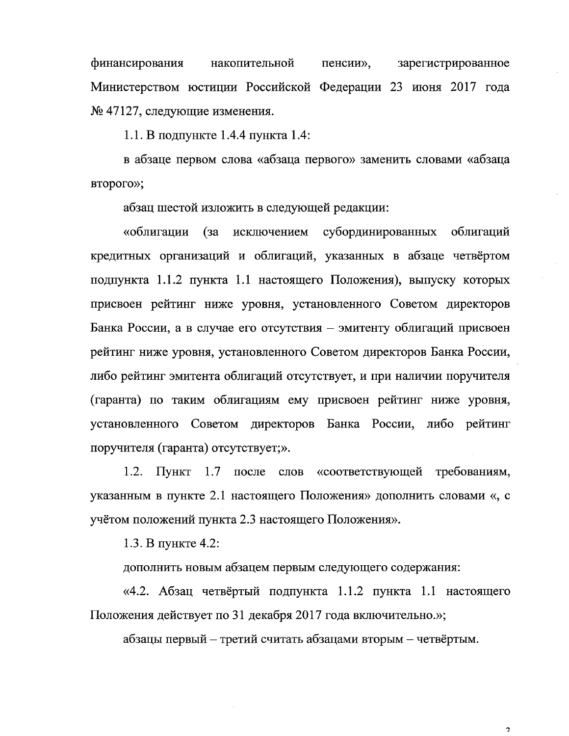финансирования накопительной пенсии», зарегистрированное Министерством юстиции Российской Федерации 23 июня 2017 года № 47127, следующие изменения.

1.1. В подпункте 1.4.4 пункта 1.4:

в абзаце первом слова «абзаца первого» заменить словами «абзаца второго»;

абзац шестой изложить в следующей редакции:

(за исключением субординированных облигаций «облигации кредитных организаций и облигаций, указанных в абзаце четвёртом подпункта 1.1.2 пункта 1.1 настоящего Положения), выпуску которых присвоен рейтинг ниже уровня, установленного Советом директоров Банка России, а в случае его отсутствия – эмитенту облигаций присвоен рейтинг ниже уровня, установленного Советом директоров Банка России, либо рейтинг эмитента облигаций отсутствует, и при наличии поручителя (гаранта) по таким облигациям ему присвоен рейтинг ниже уровня, установленного Советом директоров Банка России, либо рейтинг поручителя (гаранта) отсутствует;».

1.2. Пункт 1.7 после слов «соответствующей требованиям, указанным в пункте 2.1 настоящего Положения» дополнить словами «, с учётом положений пункта 2.3 настоящего Положения».

1.3. В пункте 4.2:

дополнить новым абзацем первым следующего содержания:

«4.2. Абзац четвёртый подпункта 1.1.2 пункта 1.1 настоящего Положения действует по 31 декабря 2017 года включительно.»;

абзацы первый – третий считать абзацами вторым – четвёртым.

 $\mathcal{D}$